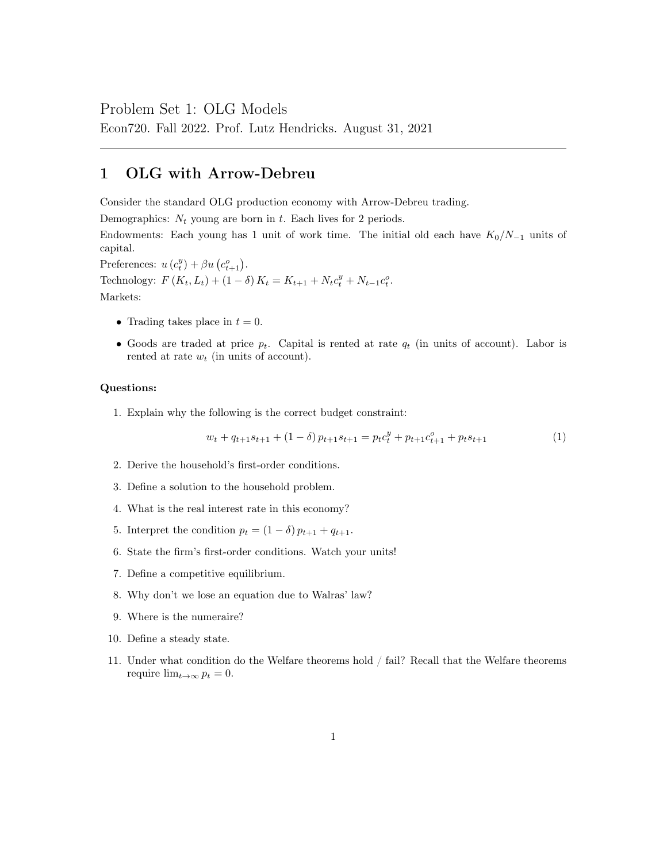### Problem Set 1: OLG Models

Econ720. Fall 2022. Prof. Lutz Hendricks. August 31, 2021

## 1 OLG with Arrow-Debreu

Consider the standard OLG production economy with Arrow-Debreu trading.

Demographics:  $N_t$  young are born in t. Each lives for 2 periods.

Endowments: Each young has 1 unit of work time. The initial old each have  $K_0/N_{-1}$  units of capital.

Preferences:  $u(c_t^y) + \beta u(c_{t+1}^o)$ .

Technology:  $F(K_t, L_t) + (1 - \delta) K_t = K_{t+1} + N_t c_t^y + N_{t-1} c_t^o$ .

Markets:

- Trading takes place in  $t = 0$ .
- Goods are traded at price  $p_t$ . Capital is rented at rate  $q_t$  (in units of account). Labor is rented at rate  $w_t$  (in units of account).

#### Questions:

1. Explain why the following is the correct budget constraint:

$$
w_t + q_{t+1}s_{t+1} + (1 - \delta)p_{t+1}s_{t+1} = p_t c_t^y + p_{t+1} c_{t+1}^o + p_t s_{t+1}
$$
\n(1)

- 2. Derive the household's first-order conditions.
- 3. Define a solution to the household problem.
- 4. What is the real interest rate in this economy?
- 5. Interpret the condition  $p_t = (1 \delta) p_{t+1} + q_{t+1}$ .
- 6. State the firm's first-order conditions. Watch your units!
- 7. Define a competitive equilibrium.
- 8. Why don't we lose an equation due to Walras' law?
- 9. Where is the numeraire?
- 10. Define a steady state.
- 11. Under what condition do the Welfare theorems hold / fail? Recall that the Welfare theorems require  $\lim_{t\to\infty} p_t = 0$ .